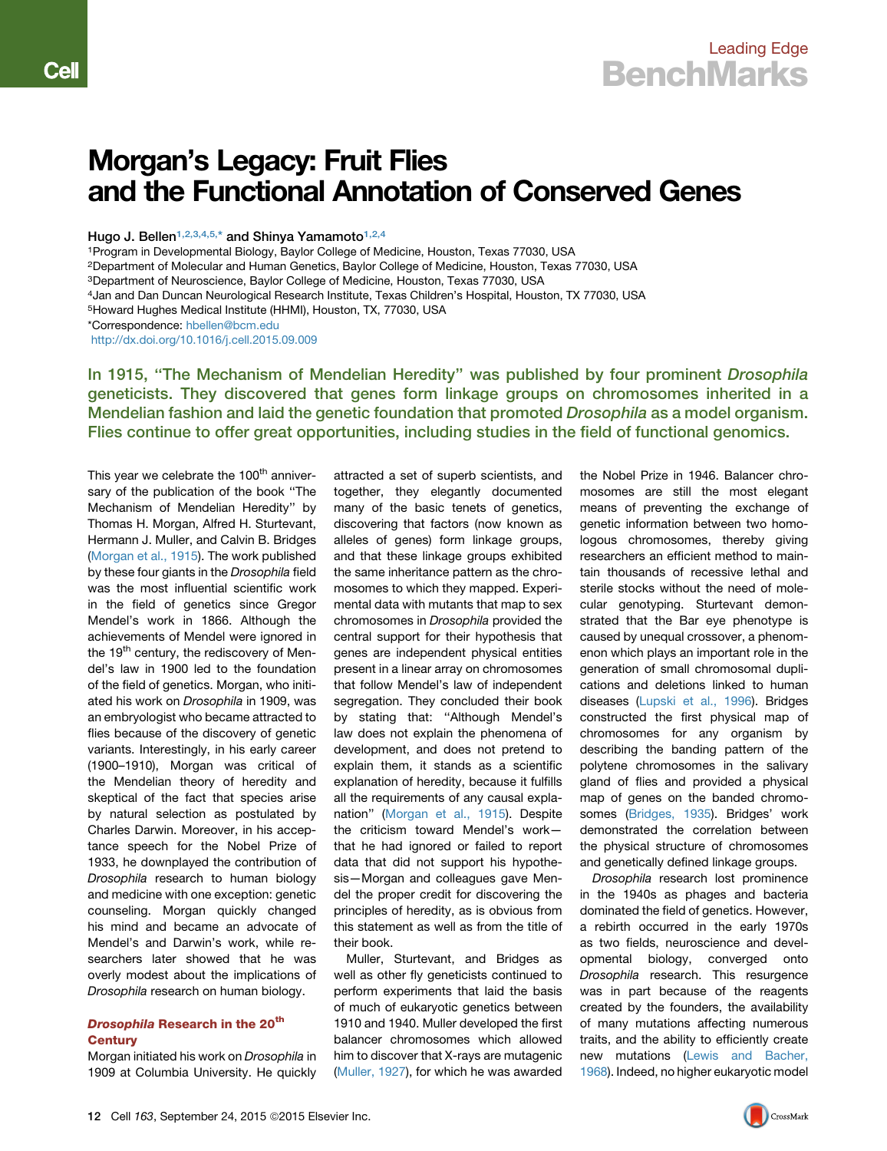# Morgan's Legacy: Fruit Flies and the Functional Annotation of Conserved Genes

Hugo J. Bellen<sup>[1,](#page-0-0)[2,](#page-0-1)[3,](#page-0-2)[4,](#page-0-3)[5,](#page-0-4)\*</sup> and Shinya Yamamoto<sup>1,2,[4](#page-0-3)</sup>

<span id="page-0-0"></span>1Program in Developmental Biology, Baylor College of Medicine, Houston, Texas 77030, USA

<span id="page-0-1"></span>2Department of Molecular and Human Genetics, Baylor College of Medicine, Houston, Texas 77030, USA

<span id="page-0-2"></span>3Department of Neuroscience, Baylor College of Medicine, Houston, Texas 77030, USA

<span id="page-0-3"></span>4Jan and Dan Duncan Neurological Research Institute, Texas Children's Hospital, Houston, TX 77030, USA

<span id="page-0-4"></span>5Howard Hughes Medical Institute (HHMI), Houston, TX, 77030, USA

<http://dx.doi.org/10.1016/j.cell.2015.09.009>

In 1915, "The Mechanism of Mendelian Heredity" was published by four prominent *Drosophila* geneticists. They discovered that genes form linkage groups on chromosomes inherited in a Mendelian fashion and laid the genetic foundation that promoted *Drosophila* as a model organism. Flies continue to offer great opportunities, including studies in the field of functional genomics.

This year we celebrate the 100<sup>th</sup> anniversary of the publication of the book ''The Mechanism of Mendelian Heredity'' by Thomas H. Morgan, Alfred H. Sturtevant, Hermann J. Muller, and Calvin B. Bridges ([Morgan et al., 1915\)](#page-2-0). The work published by these four giants in the *Drosophila* field was the most influential scientific work in the field of genetics since Gregor Mendel's work in 1866. Although the achievements of Mendel were ignored in the 19<sup>th</sup> century, the rediscovery of Mendel's law in 1900 led to the foundation of the field of genetics. Morgan, who initiated his work on *Drosophila* in 1909, was an embryologist who became attracted to flies because of the discovery of genetic variants. Interestingly, in his early career (1900–1910), Morgan was critical of the Mendelian theory of heredity and skeptical of the fact that species arise by natural selection as postulated by Charles Darwin. Moreover, in his acceptance speech for the Nobel Prize of 1933, he downplayed the contribution of *Drosophila* research to human biology and medicine with one exception: genetic counseling. Morgan quickly changed his mind and became an advocate of Mendel's and Darwin's work, while researchers later showed that he was overly modest about the implications of *Drosophila* research on human biology.

## Drosophila Research in the 20<sup>th</sup> **Century**

Morgan initiated his work on *Drosophila* in 1909 at Columbia University. He quickly

attracted a set of superb scientists, and together, they elegantly documented many of the basic tenets of genetics, discovering that factors (now known as alleles of genes) form linkage groups, and that these linkage groups exhibited the same inheritance pattern as the chromosomes to which they mapped. Experimental data with mutants that map to sex chromosomes in *Drosophila* provided the central support for their hypothesis that genes are independent physical entities present in a linear array on chromosomes that follow Mendel's law of independent segregation. They concluded their book by stating that: ''Although Mendel's law does not explain the phenomena of development, and does not pretend to explain them, it stands as a scientific explanation of heredity, because it fulfills all the requirements of any causal explanation'' [\(Morgan et al., 1915\)](#page-2-0). Despite the criticism toward Mendel's work that he had ignored or failed to report data that did not support his hypothesis—Morgan and colleagues gave Mendel the proper credit for discovering the principles of heredity, as is obvious from this statement as well as from the title of their book.

Muller, Sturtevant, and Bridges as well as other fly geneticists continued to perform experiments that laid the basis of much of eukaryotic genetics between 1910 and 1940. Muller developed the first balancer chromosomes which allowed him to discover that X-rays are mutagenic [\(Muller, 1927](#page-2-1)), for which he was awarded

the Nobel Prize in 1946. Balancer chromosomes are still the most elegant means of preventing the exchange of genetic information between two homologous chromosomes, thereby giving researchers an efficient method to maintain thousands of recessive lethal and sterile stocks without the need of molecular genotyping. Sturtevant demonstrated that the Bar eye phenotype is caused by unequal crossover, a phenomenon which plays an important role in the generation of small chromosomal duplications and deletions linked to human diseases ([Lupski et al., 1996](#page-2-2)). Bridges constructed the first physical map of chromosomes for any organism by describing the banding pattern of the polytene chromosomes in the salivary gland of flies and provided a physical map of genes on the banded chromosomes ([Bridges, 1935\)](#page-2-3). Bridges' work demonstrated the correlation between the physical structure of chromosomes and genetically defined linkage groups.

*Drosophila* research lost prominence in the 1940s as phages and bacteria dominated the field of genetics. However, a rebirth occurred in the early 1970s as two fields, neuroscience and developmental biology, converged onto *Drosophila* research. This resurgence was in part because of the reagents created by the founders, the availability of many mutations affecting numerous traits, and the ability to efficiently create new mutations [\(Lewis and Bacher,](#page-2-4) [1968](#page-2-4)). Indeed, no higher eukaryotic model



<sup>\*</sup>Correspondence: [hbellen@bcm.edu](mailto:hbellen@bcm.edu)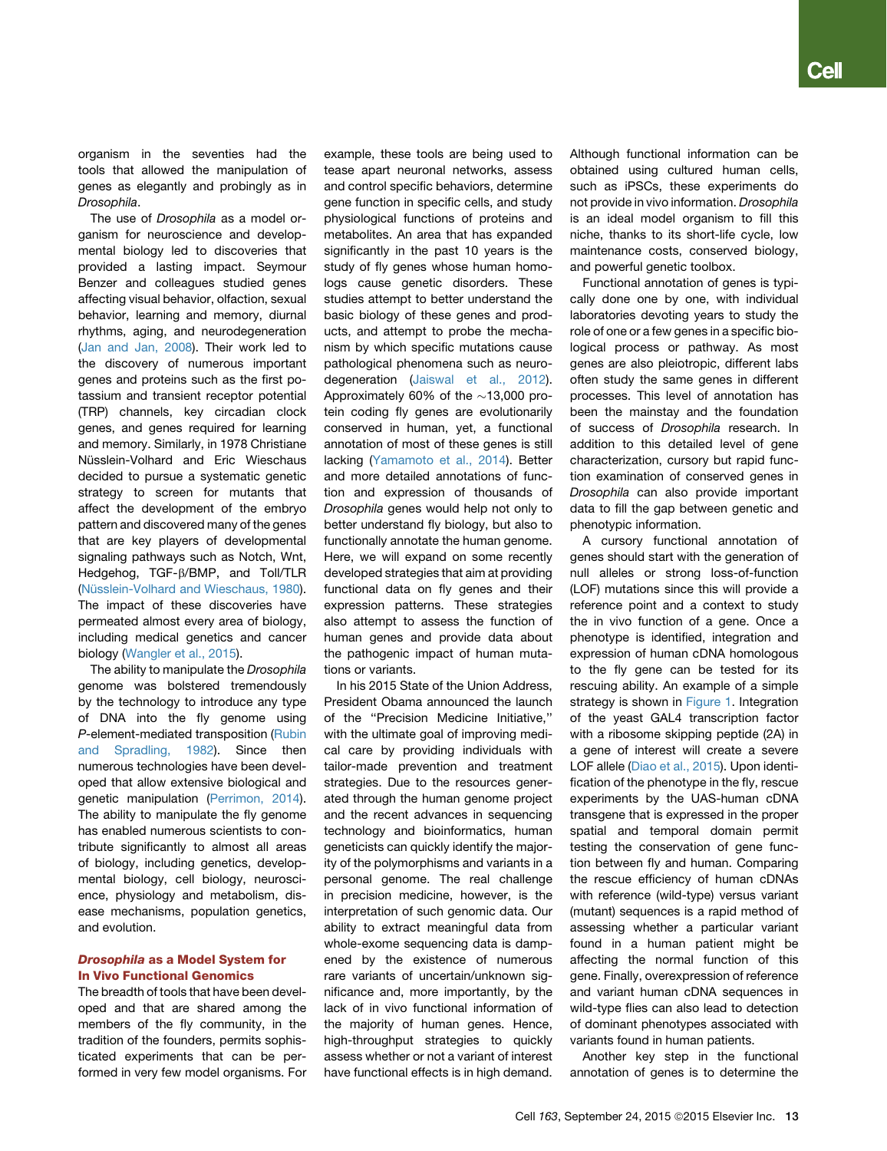organism in the seventies had the tools that allowed the manipulation of genes as elegantly and probingly as in *Drosophila*.

The use of *Drosophila* as a model organism for neuroscience and developmental biology led to discoveries that provided a lasting impact. Seymour Benzer and colleagues studied genes affecting visual behavior, olfaction, sexual behavior, learning and memory, diurnal rhythms, aging, and neurodegeneration [\(Jan and Jan, 2008\)](#page-2-5). Their work led to the discovery of numerous important genes and proteins such as the first potassium and transient receptor potential (TRP) channels, key circadian clock genes, and genes required for learning and memory. Similarly, in 1978 Christiane Nüsslein-Volhard and Eric Wieschaus decided to pursue a systematic genetic strategy to screen for mutants that affect the development of the embryo pattern and discovered many of the genes that are key players of developmental signaling pathways such as Notch, Wnt. Hedgehog, TGF- $\beta$ /BMP, and Toll/TLR (Nü[sslein-Volhard and Wieschaus, 1980\)](#page-2-6). The impact of these discoveries have permeated almost every area of biology, including medical genetics and cancer biology [\(Wangler et al., 2015\)](#page-2-7).

The ability to manipulate the *Drosophila* genome was bolstered tremendously by the technology to introduce any type of DNA into the fly genome using *P*-element-mediated transposition [\(Rubin](#page-2-8) [and Spradling, 1982](#page-2-8)). Since then numerous technologies have been developed that allow extensive biological and genetic manipulation ([Perrimon, 2014\)](#page-2-9). The ability to manipulate the fly genome has enabled numerous scientists to contribute significantly to almost all areas of biology, including genetics, developmental biology, cell biology, neuroscience, physiology and metabolism, disease mechanisms, population genetics, and evolution.

### Drosophila as a Model System for In Vivo Functional Genomics

The breadth of tools that have been developed and that are shared among the members of the fly community, in the tradition of the founders, permits sophisticated experiments that can be performed in very few model organisms. For example, these tools are being used to tease apart neuronal networks, assess and control specific behaviors, determine gene function in specific cells, and study physiological functions of proteins and metabolites. An area that has expanded significantly in the past 10 years is the study of fly genes whose human homologs cause genetic disorders. These studies attempt to better understand the basic biology of these genes and products, and attempt to probe the mechanism by which specific mutations cause pathological phenomena such as neurodegeneration ([Jaiswal et al., 2012](#page-2-10)). Approximately 60% of the  $\sim$ 13,000 protein coding fly genes are evolutionarily conserved in human, yet, a functional annotation of most of these genes is still lacking ([Yamamoto et al., 2014](#page-2-11)). Better and more detailed annotations of function and expression of thousands of *Drosophila* genes would help not only to better understand fly biology, but also to functionally annotate the human genome. Here, we will expand on some recently developed strategies that aim at providing functional data on fly genes and their expression patterns. These strategies also attempt to assess the function of human genes and provide data about the pathogenic impact of human mutations or variants.

In his 2015 State of the Union Address, President Obama announced the launch of the ''Precision Medicine Initiative,'' with the ultimate goal of improving medical care by providing individuals with tailor-made prevention and treatment strategies. Due to the resources generated through the human genome project and the recent advances in sequencing technology and bioinformatics, human geneticists can quickly identify the majority of the polymorphisms and variants in a personal genome. The real challenge in precision medicine, however, is the interpretation of such genomic data. Our ability to extract meaningful data from whole-exome sequencing data is dampened by the existence of numerous rare variants of uncertain/unknown significance and, more importantly, by the lack of in vivo functional information of the majority of human genes. Hence, high-throughput strategies to quickly assess whether or not a variant of interest have functional effects is in high demand.

Although functional information can be obtained using cultured human cells, such as iPSCs, these experiments do not provide in vivo information. *Drosophila* is an ideal model organism to fill this niche, thanks to its short-life cycle, low maintenance costs, conserved biology, and powerful genetic toolbox.

Functional annotation of genes is typically done one by one, with individual laboratories devoting years to study the role of one or a few genes in a specific biological process or pathway. As most genes are also pleiotropic, different labs often study the same genes in different processes. This level of annotation has been the mainstay and the foundation of success of *Drosophila* research. In addition to this detailed level of gene characterization, cursory but rapid function examination of conserved genes in *Drosophila* can also provide important data to fill the gap between genetic and phenotypic information.

A cursory functional annotation of genes should start with the generation of null alleles or strong loss-of-function (LOF) mutations since this will provide a reference point and a context to study the in vivo function of a gene. Once a phenotype is identified, integration and expression of human cDNA homologous to the fly gene can be tested for its rescuing ability. An example of a simple strategy is shown in [Figure 1.](#page-2-12) Integration of the yeast GAL4 transcription factor with a ribosome skipping peptide (2A) in a gene of interest will create a severe LOF allele [\(Diao et al., 2015\)](#page-2-13). Upon identification of the phenotype in the fly, rescue experiments by the UAS-human cDNA transgene that is expressed in the proper spatial and temporal domain permit testing the conservation of gene function between fly and human. Comparing the rescue efficiency of human cDNAs with reference (wild-type) versus variant (mutant) sequences is a rapid method of assessing whether a particular variant found in a human patient might be affecting the normal function of this gene. Finally, overexpression of reference and variant human cDNA sequences in wild-type flies can also lead to detection of dominant phenotypes associated with variants found in human patients.

Another key step in the functional annotation of genes is to determine the